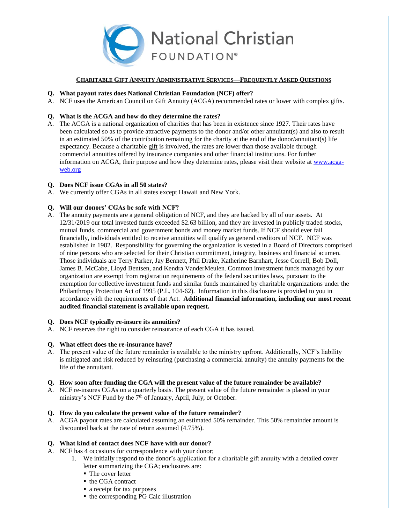

## **CHARITABLE GIFT ANNUITY ADMINISTRATIVE SERVICES—FREQUENTLY ASKED QUESTIONS**

## **Q. What payout rates does National Christian Foundation (NCF) offer?**

A. NCF uses the American Council on Gift Annuity (ACGA) recommended rates or lower with complex gifts.

# **Q. What is the ACGA and how do they determine the rates?**

A. The ACGA is a national organization of charities that has been in existence since 1927. Their rates have been calculated so as to provide attractive payments to the donor and/or other annuitant(s) and also to result in an estimated 50% of the contribution remaining for the charity at the end of the donor/annuitant(s) life expectancy. Because a charitable gift is involved, the rates are lower than those available through commercial annuities offered by insurance companies and other financial institutions. For further information on ACGA, their purpose and how they determine rates, please visit their website at [www.acga](http://www.acga-web.org/)[web.org](http://www.acga-web.org/)

## **Q. Does NCF issue CGAs in all 50 states?**

A. We currently offer CGAs in all states except Hawaii and New York.

# **Q. Will our donors' CGAs be safe with NCF?**

A. The annuity payments are a general obligation of NCF, and they are backed by all of our assets. At 12/31/2019 our total invested funds exceeded \$2.63 billion, and they are invested in publicly traded stocks, mutual funds, commercial and government bonds and money market funds. If NCF should ever fail financially, individuals entitled to receive annuities will qualify as general creditors of NCF. NCF was established in 1982. Responsibility for governing the organization is vested in a Board of Directors comprised of nine persons who are selected for their Christian commitment, integrity, business and financial acumen. Those individuals are Terry Parker, Jay Bennett, Phil Drake, Katherine Barnhart, Jesse Correll, Bob Doll, James B. McCabe, Lloyd Bentsen, and Kendra VanderMeulen. Common investment funds managed by our organization are exempt from registration requirements of the federal securities laws, pursuant to the exemption for collective investment funds and similar funds maintained by charitable organizations under the Philanthropy Protection Act of 1995 (P.L. 104-62). Information in this disclosure is provided to you in accordance with the requirements of that Act. **Additional financial information, including our most recent audited financial statement is available upon request.**

### **Q. Does NCF typically re-insure its annuities?**

A. NCF reserves the right to consider reinsurance of each CGA it has issued.

### **Q. What effect does the re-insurance have?**

A. The present value of the future remainder is available to the ministry upfront. Additionally, NCF's liability is mitigated and risk reduced by reinsuring (purchasing a commercial annuity) the annuity payments for the life of the annuitant.

# **Q. How soon after funding the CGA will the present value of the future remainder be available?**

A. NCF re-insures CGAs on a quarterly basis. The present value of the future remainder is placed in your ministry's NCF Fund by the 7<sup>th</sup> of January, April, July, or October.

### **Q. How do you calculate the present value of the future remainder?**

A. ACGA payout rates are calculated assuming an estimated 50% remainder. This 50% remainder amount is discounted back at the rate of return assumed (4.75%).

### **Q. What kind of contact does NCF have with our donor?**

- A. NCF has 4 occasions for correspondence with your donor;
	- 1. We initially respond to the donor's application for a charitable gift annuity with a detailed cover letter summarizing the CGA; enclosures are:
		- The cover letter
		- the CGA contract
		- **a** receipt for tax purposes
		- the corresponding PG Calc illustration